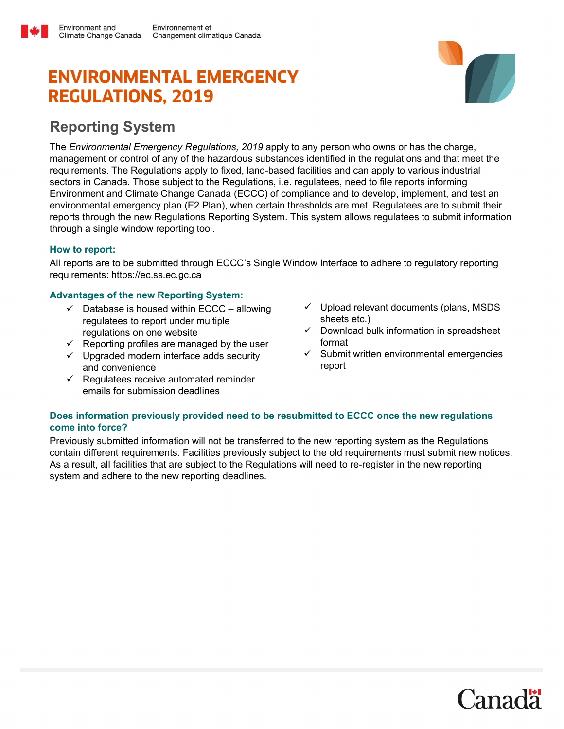# **ENVIRONMENTAL EMERGENCY REGULATIONS, 2019**



## Reporting System

Environment and

The Environmental Emergency Regulations, 2019 apply to any person who owns or has the charge, management or control of any of the hazardous substances identified in the regulations and that meet the requirements. The Regulations apply to fixed, land-based facilities and can apply to various industrial sectors in Canada. Those subject to the Regulations, i.e. regulatees, need to file reports informing Environment and Climate Change Canada (ECCC) of compliance and to develop, implement, and test an environmental emergency plan (E2 Plan), when certain thresholds are met. Regulatees are to submit their reports through the new Regulations Reporting System. This system allows regulatees to submit information through a single window reporting tool.

#### How to report:

All reports are to be submitted through ECCC's Single Window Interface to adhere to regulatory reporting requirements: https://ec.ss.ec.gc.ca

#### Advantages of the new Reporting System:

- $\checkmark$  Database is housed within ECCC allowing regulatees to report under multiple regulations on one website
- $\checkmark$  Reporting profiles are managed by the user
- $\checkmark$  Upgraded modern interface adds security and convenience
- $\checkmark$  Regulatees receive automated reminder emails for submission deadlines
- $\checkmark$  Upload relevant documents (plans, MSDS) sheets etc.)
- $\checkmark$  Download bulk information in spreadsheet format
- $\checkmark$  Submit written environmental emergencies report

#### Does information previously provided need to be resubmitted to ECCC once the new regulations come into force?

Previously submitted information will not be transferred to the new reporting system as the Regulations contain different requirements. Facilities previously subject to the old requirements must submit new notices. As a result, all facilities that are subject to the Regulations will need to re-register in the new reporting system and adhere to the new reporting deadlines.